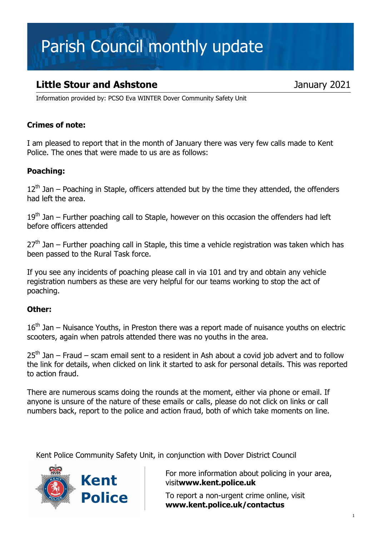# Parish Council monthly update

### **Little Stour and Ashstone January 2021**

Information provided by: PCSO Eva WINTER Dover Community Safety Unit

### Crimes of note:

I am pleased to report that in the month of January there was very few calls made to Kent Police. The ones that were made to us are as follows:

#### Poaching:

 $12<sup>th</sup>$  Jan – Poaching in Staple, officers attended but by the time they attended, the offenders had left the area.

 $19<sup>th</sup>$  Jan – Further poaching call to Staple, however on this occasion the offenders had left before officers attended

 $27<sup>th</sup>$  Jan – Further poaching call in Staple, this time a vehicle registration was taken which has been passed to the Rural Task force.

If you see any incidents of poaching please call in via 101 and try and obtain any vehicle registration numbers as these are very helpful for our teams working to stop the act of poaching.

#### Other:

 $16<sup>th</sup>$  Jan – Nuisance Youths, in Preston there was a report made of nuisance vouths on electric scooters, again when patrols attended there was no youths in the area.

 $25<sup>th</sup>$  Jan – Fraud – scam email sent to a resident in Ash about a covid job advert and to follow the link for details, when clicked on link it started to ask for personal details. This was reported to action fraud.

There are numerous scams doing the rounds at the moment, either via phone or email. If anyone is unsure of the nature of these emails or calls, please do not click on links or call numbers back, report to the police and action fraud, both of which take moments on line.

Kent Police Community Safety Unit, in conjunction with Dover District Council



For more information about policing in your area, visitwww.kent.police.uk

To report a non-urgent crime online, visit www.kent.police.uk/contactus